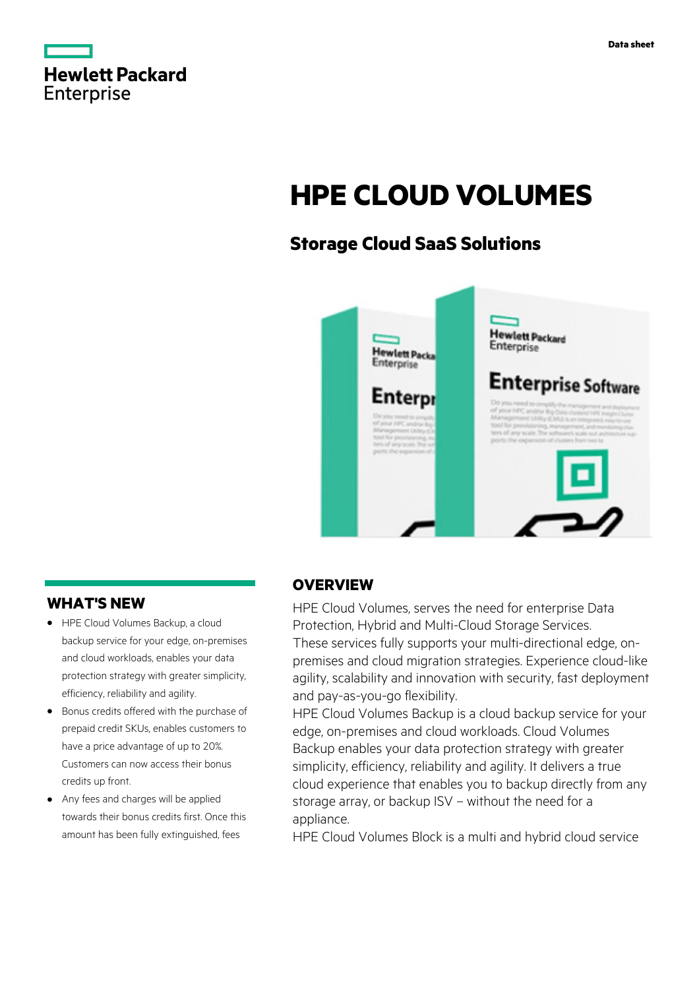

# **HPE CLOUD VOLUMES**

# **Storage Cloud SaaS Solutions**



# **WHAT'S NEW**

- **·** HPE Cloud Volumes Backup, a cloud backup service for your edge, on-premises and cloud workloads, enables your data protection strategy with greater simplicity, efficiency, reliability and agility.
- **·** Bonus credits offered with the purchase of prepaid credit SKUs, enables customers to have a price advantage of up to 20%. Customers can now access their bonus credits up front.
- **·** Any fees and charges will be applied towards their bonus credits first. Once this amount has been fully extinguished, fees

# **OVERVIEW**

HPE Cloud Volumes, serves the need for enterprise Data Protection, Hybrid and Multi-Cloud Storage Services. These services fully supports your multi-directional edge, onpremises and cloud migration strategies. Experience cloud-like agility, scalability and innovation with security, fast deployment and pay-as-you-go flexibility.

HPE Cloud Volumes Backup is a cloud backup service for your edge, on-premises and cloud workloads. Cloud Volumes Backup enables your data protection strategy with greater simplicity, efficiency, reliability and agility. It delivers a true cloud experience that enables you to backup directly from any storage array, or backup ISV – without the need for a appliance.

HPE Cloud Volumes Block is a multi and hybrid cloud service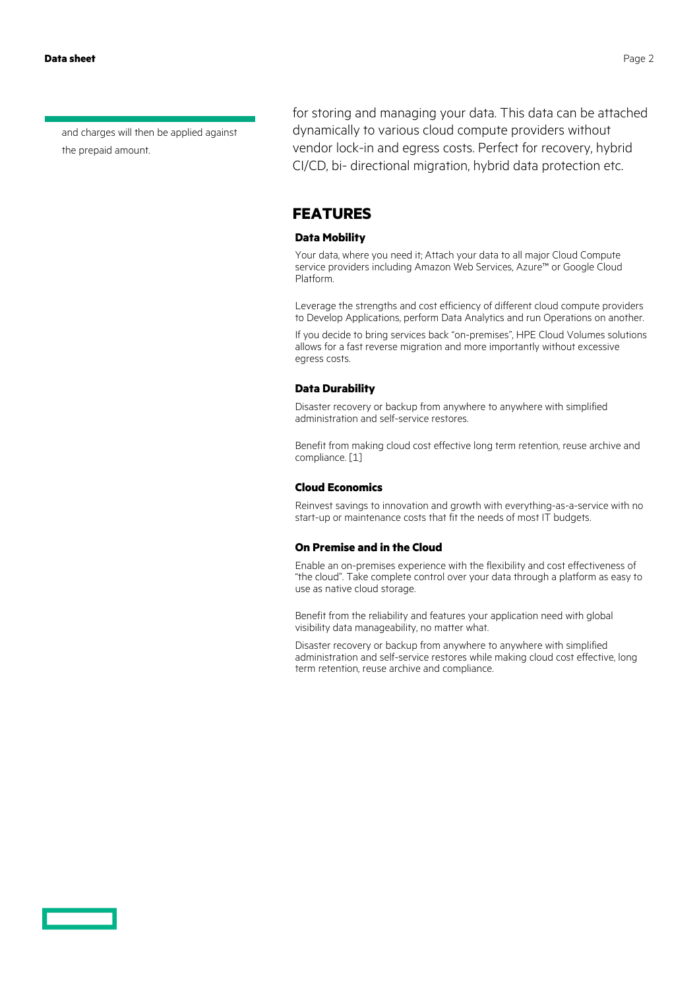and charges will then be applied against the prepaid amount.

for storing and managing your data. This data can be attached dynamically to various cloud compute providers without vendor lock-in and egress costs. Perfect for recovery, hybrid CI/CD, bi- directional migration, hybrid data protection etc.

### **FEATURES**

#### **Data Mobility**

Your data, where you need it; Attach your data to all major Cloud Compute service providers including Amazon Web Services, Azure™ or Google Cloud Platform.

Leverage the strengths and cost efficiency of different cloud compute providers to Develop Applications, perform Data Analytics and run Operations on another.

If you decide to bring services back "on-premises", HPE Cloud Volumes solutions allows for a fast reverse migration and more importantly without excessive egress costs.

#### **Data Durability**

Disaster recovery or backup from anywhere to anywhere with simplified administration and self-service restores.

Benefit from making cloud cost effective long term retention, reuse archive and compliance. [1]

#### **Cloud Economics**

Reinvest savings to innovation and growth with everything-as-a-service with no start-up or maintenance costs that fit the needs of most IT budgets.

#### **On Premise and in the Cloud**

Enable an on-premises experience with the flexibility and cost effectiveness of "the cloud". Take complete control over your data through a platform as easy to use as native cloud storage.

Benefit from the reliability and features your application need with global visibility data manageability, no matter what.

Disaster recovery or backup from anywhere to anywhere with simplified administration and self-service restores while making cloud cost effective, long term retention, reuse archive and compliance.